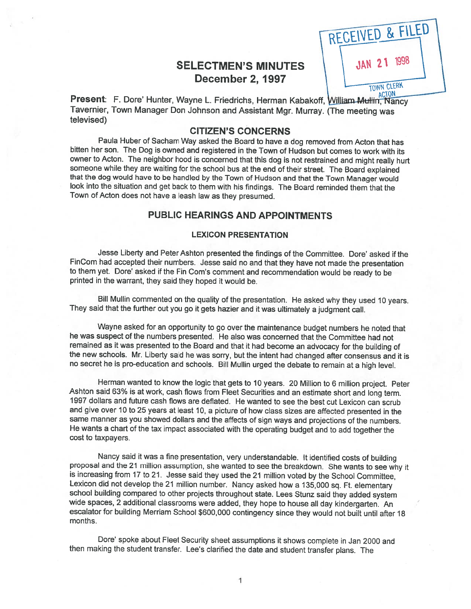# SELECTMEN'S MINUTES December 2, 1997

RECEIVED & FILED 1998 **TOWN CLERK** 

Present: F. Dore' Hunter, Wayne L. Friedrichs, Herman Kabakoff, William Mullim, Nancy Tavernier, Town Manager Don Johnson and Assistant Mgr. Murray. (The meeting was televised)

## CITIZEN'S CONCERNS

Paula Huber of Sacham Way asked the Board to have <sup>a</sup> dog removed from Acton that has bitten her son. The Dog is owned and registered in the Town of Hudson but comes to work with its owner to Acton. The neighbor hood is concerned that this dog is not restrained and might really hurt someone while they are waiting for the school bus at the end of their street. The Board explained that the dog would have to be handled by the Town of Hudson and that the Town Manager would look into the situation and get back to them with his findings. The Board reminded them that the Town of Acton does not have <sup>a</sup> leash law as they presumed.

## PUBLIC HEARINGS AND APPOINTMENTS

### LEXICON PRESENTATION

Jesse Liberty and Peter Ashton presented the findings of the Committee. Dore' asked if the FinCom had accepted their numbers. Jesse said no and that they have not made the presentation to them yet. Dore' asked if the Fin Com's comment and recommendation would be ready to be printed in the warrant, they said they hoped it would be.

Bill Mullin commented on the quality of the presentation. He asked why they used <sup>10</sup> years. They said that the further out you go it gets hazier and it was ultimately <sup>a</sup> judgment call.

Wayne asked for an opportunity to go over the maintenance budget numbers he noted that he was suspect of the numbers presented. He also was concerned that the Committee had not remained as it was presented to the Board and that it had become an advocacy for the building of the new schools. Mr. Liberty said he was sorry, but the intent had changed after consensus and it is no secret he is pro-education and schools. Bill Mullin urged the debate to remain at <sup>a</sup> high level.

Herman wanted to know the logic that gets to <sup>10</sup> years. <sup>20</sup> Million to <sup>6</sup> million project. Peter Ashton said 63% is at work, cash flows from Fleet Securities and an estimate short and long term. 1997 dollars and future cash flows are deflated. He wanted to see the best cut Lexicon can scrub and give over 10 to 25 years at least 10, a picture of how class sizes are affected presented in the same manner as you showed dollars and the affects of sign ways and projections of the numbers. He wants <sup>a</sup> chart of the tax impact associated with the operating budget and to add together the cost to taxpayers.

Nancy said it was <sup>a</sup> fine presentation, very understandable. It identified costs of building proposal and the <sup>21</sup> million assumption, she wanted to see the breakdown. She wants to see why it is increasing from <sup>17</sup> to 21. Jesse said they used the <sup>21</sup> million voted by the School Committee, Lexicon did not develop the <sup>21</sup> million number. Nancy asked how <sup>a</sup> 135,000 sq. Ft. elementary school building compared to other projects throughout state. Lees Stunz said they added system wide spaces, <sup>2</sup> additional classrooms were added, they hope to house all day kindergarten. An escalator for building Merriam School \$600,000 contingency since they would not built until after <sup>18</sup> months.

Dote' spoke about Fleet Security sheet assumptions it shows complete in Jan <sup>2000</sup> and then making the student transfer. Lee's clarified the date and student transfer <sup>p</sup>lans. The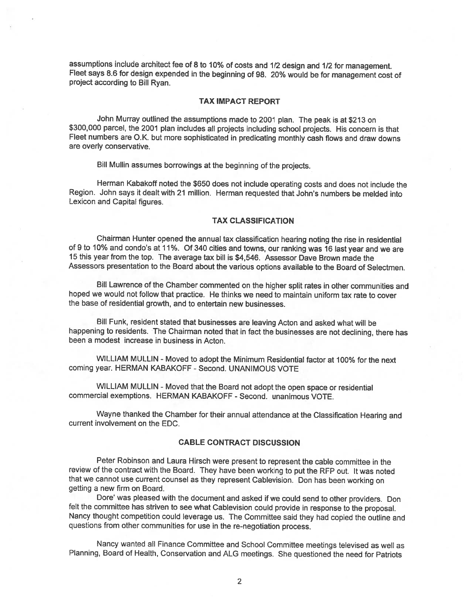assumptions include architect fee of <sup>8</sup> to 10% of costs and 1/2 design and 1/2 for management. Fleet says 8.6 for design expended in the beginning of 98. 20% would be for management cost of project according to Bill Ryan.

### TAX IMPACT REPORT

John Murray outlined the assumptions made to <sup>2001</sup> <sup>p</sup>lan. The peak is at \$213 on \$300,000 parcel, the <sup>2001</sup> <sup>p</sup>lan includes all projects including school projects. His concern is that Fleet numbers are O.K. but more sophisticated in predicating monthly cash flows and draw downs are overly conservative.

Bill Mullin assumes borrowings at the beginning of the projects.

Herman Kabakoff noted the \$650 does not include operating costs and does not include the Region. John says it dealt with <sup>21</sup> million. Herman requested that John's numbers be melded into Lexicon and Capital figures.

#### TAX CLASSIFICATION

Chairman Hunter opened the annual tax classification hearing noting the rise in residential of <sup>9</sup> to 10% and condo's at 11%. Of <sup>340</sup> cities and towns, our ranking was <sup>16</sup> last year and we are <sup>15</sup> this year from the top. The average tax bill is \$4,546. Assessor Dave Brown made the Assessors presentation to the Board about the various options available to the Board of Selectmen.

Bill Lawrence of the Chamber commented on the higher split rates in other communities and hoped we would not follow that practice. He thinks we need to maintain uniform tax rate to cover the base of residential growth, and to entertain new businesses.

Bill Funk, resident stated that businesses are leaving Acton and asked what will be happening to residents. The Chairman noted that in fact the businesses are not declining, there has been <sup>a</sup> modest increase in business in Acton.

WILLIAM MULLIN - Moved to adopt the Minimum Residential factor at 100% for the next coming year. HERMAN KABAKOFF - Second. UNANIMOUS VOTE

WILLIAM MULLIN - Moved that the Board not adopt the open space or residential commercial exemptions. HERMAN KABAKOFF -Second. unanimous VOTE.

Wayne thanked the Chamber for their annual attendance at the Classification Hearing and current involvement on the EDC.

### CABLE CONTRACT DISCUSSION

Peter Robinson and Laura Hirsch were present to represent the cable committee in the review of the contract with the Board. They have been working to pu<sup>t</sup> the REP out. It was noted that we cannot use current counsel as they represent Cablevision. Don has been working on getting <sup>a</sup> new firm on Board.

Dote' was <sup>p</sup>leased with the document and asked if we could send to other providers. Don felt the committee has striven to see what Cablevision could provide in response to the proposal. Nancy thought competition could leverage us. The Committee said they had copied the outline and questions from other communities for use in the re-negotiation process.

Nancy wanted all Finance Committee and School Committee meetings televised as well as Planning, Board of Health, Conservation and ALG meetings. She questioned the need for Patriots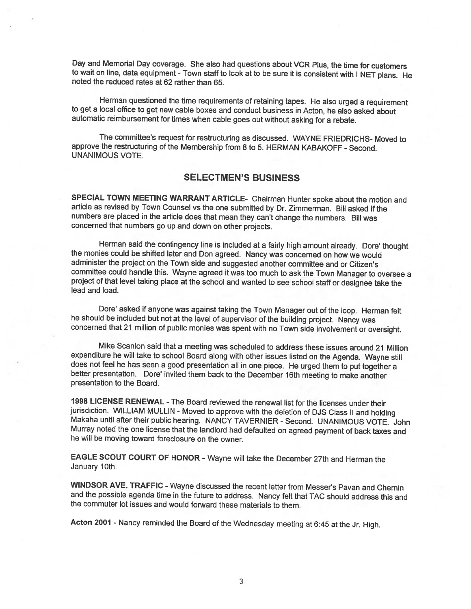Day and Memorial Day coverage. She also had questions about VCR Plus, the time for customers to wait on line, data equipment - Town staff to look at to be sure it is consistent with I NET plans. He noted the reduced rates at 62 rather than 65.

Herman questioned the time requirements of retaining tapes. He also urged <sup>a</sup> requirement to get <sup>a</sup> local office to get new cable boxes and conduct business in Acton, he also asked about automatic reimbursement for times when cable goes out without asking for <sup>a</sup> rebate.

The committee's request for restructuring as discussed. WAYNE FRIEDRICHS- Moved to approve the restructuring of the Membership from 8 to 5. HERMAN KABAKOFF - Second. UNANIMOUS VOTE.

## SELECTMEN'S BUSINESS

SPECIAL TOWN MEETING WARRANT ARTICLE- Chairman Hunter spoke about the motion and article as revised by Town Counsel vs the one submitted by Dr. Zimmerman. Bill asked if the numbers are <sup>p</sup>laced in the article does that mean they can't change the numbers. Bill was concerned that numbers go up and down on other projects.

Herman said the contingency line is included at <sup>a</sup> fairly high amount already. Dore' thought the monies could be shifted later and Don agreed. Nancy was concerned on how we would administer the project on the Town side and suggested another committee and or Citizen's committee could handle this. Wayne agreed it was too much to ask the Town Manager to oversee <sup>a</sup> project of that level taking <sup>p</sup>lace at the school and wanted to see school staff or designee take the lead and load.

Dore' asked if anyone was against taking the Town Manager out of the loop. Herman felt he should be included but not at the level of supervisor of the building project. Nancy was concerned that <sup>21</sup> million of public monies was spent with no Town side involvement or oversight.

Mike Scanlon said that a meeting was scheduled to address these issues around 21 Million expenditure he will take to school Board along with other issues listed on the Agenda. Wayne still does not feel he has seen a good presentation all in one piece. He urged them to put together a better presentation. Dore' invited them back to the December 16th meeting to make another presentation to the Board.

1998 LICENSE RENEWAL - The Board reviewed the renewal list for the licenses under their<br>jurisdiction. WILLIAM MULLIN - Moved to approve with the deletion of DJS Class II and holding Makaha until after their public hearing. NANCY TAVERNIER - Second. UNANIMOUS VOTE. John Murray noted the one license that the landlord had defaulted on agreed payment of back taxes and he will be moving toward foreclosure on the owner.

EAGLE SCOUT COURT OF HONOR - Wayne will take the December 27th and Herman the January 10th.

WINDSOR AVE. TRAFFIC - Wayne discussed the recent letter from Messer's Pavan and Chernin and the possible agenda time in the future to address. Nancy felt that TAC should address this and the commuter lot issues and would forward these materials to them.

Acton 2001 - Nancy reminded the Board of the Wednesday meeting at 6:45 at the Jr. High.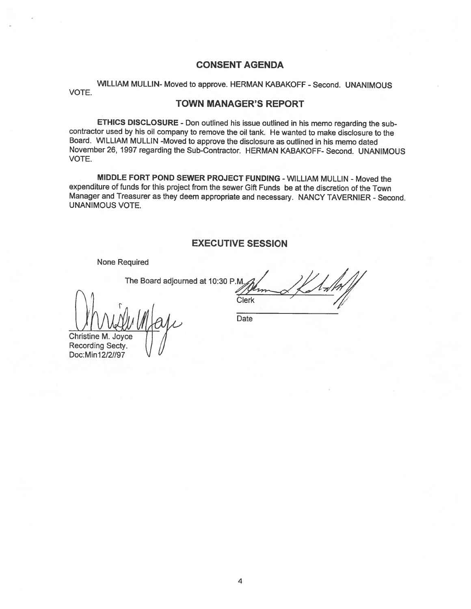# CONSENT AGENDA

WILLIAM MULLIN- Moved to approve. HERMAN KABAKOFF - Second. UNANIMOUS VOTE.

## TOWN MANAGER'S REPORT

ETHICS DISCLOSURE - Don outlined his issue outlined in his memo regarding the sub contractor used by his oil company to remove the oil tank. He wanted to make disclosure to the Board. WILLIAM MULLIN -Moved to approve the disclosure as outlined in his memo dated November 26, 1997 regarding the Sub-Contractor. HERMAN KABAKOFF- Second. UNANIMOUS VOTE.

MIDDLE FORT POND SEWER PROJECT FUNDING - WILLIAM MULLIN - Moved the expenditure of funds for this project from the sewer Gift Funds be at the discretion of the Town Manager and Treasurer as they deem appropriate and necessary. NANCY TAVERNIER - Second. UNANIMOUS VOTE.

## EXECUTIVE SESSION

None Required

 $\bigvee \mathscr{N}$ 

The Board adjourned at 10:30 P.M. Clerk **Date** 

**Christine M. Joyce** Recording Secty. Doc:Min12/2//97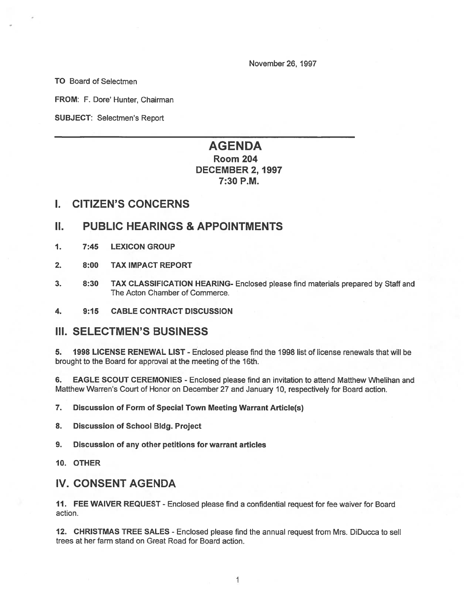November 26, 1997

TO Board of Selectmen

FROM: F. Dore' Hunter, Chairman

SUBJECT: Selectmen's Report

# AGENDA Room 204

# DECEMBER 2, 1997 7:30 P.M.

## I. CITIZEN'S CONCERNS

# II. PUBLIC HEARINGS & APPOINTMENTS

- 1. 7:45 LEXICON GROUP
- 2. 8:00 TAX IMPACT REPORT
- 3. 8:30 TAX CLASSIFICATION HEARING- Enclosed please find materials prepared by Staff and The Acton Chamber of Commerce.
- 4. 9:15 CABLE CONTRACT DISCUSSION

# III. SELECTMEN'S BUSINESS

5. 1998 LICENSE RENEWAL LIST - Enclosed please find the 1998 list of license renewals that will be brought to the Board for approval at the meeting of the 16th.

6. EAGLE SCOUT CEREMONIES - Enclosed please find an invitation to attend Matthew Whelihan and Matthew Warren's Court of Honor on December27 and January 10, respectively for Board action.

7. Discussion of Form of Special Town Meeting Warrant Article(s)

- 8. Discussion of School Bldg. Project
- 9. Discussion of any other petitions for warrant articles
- 10. OTHER

# IV. CONSENT AGENDA

11. FEE WAiVER REQUEST - Enclosed <sup>p</sup>lease find <sup>a</sup> confidential reques<sup>t</sup> for fee waiver for Board action.

12. CHRISTMAS TREE SALES -Enclosed please find the annual reques<sup>t</sup> from Mrs. DiDucca to sell trees at her farm stand on Great Road for Board action.